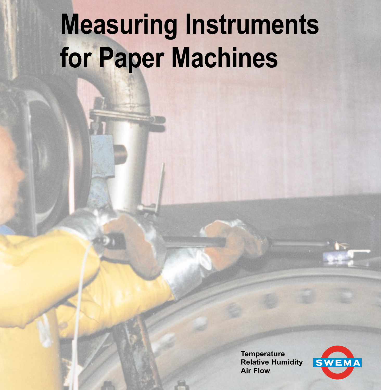# **Measuring Instruments for Paper Machines**

**Temperature Relative Humidity Air Flow**

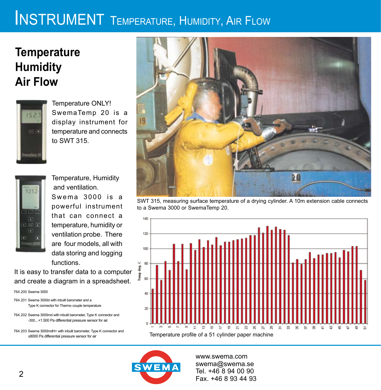# **INSTRUMENT** TEMPERATURE, HUMIDITY, AIR FLOW

## **Temperature Humidity Air Flow**



Temperature ONLY! SwemaTemp 20 is a display instrument for temperature and connects to SWT 315.



Temperature, Humidity and ventilation.  $Swema$  3000 is a powerful instrument that can connect a temperature, humidity or ventilation probe. There are four models, all with data storing and logging functions.

It is easy to transfer data to a computer and create a diagram in a spreadsheet.

764.200 Swema 3000

764.201 Swema 3000d with inbulit barometer and a Type K connector for Thermo couple temperature

764.202 Swema 3000md with inbulit barometer, Type K connector and -300....+1.500 Pa differential pressure sensor for air.

764.203 Swema 3000mdH+ with inbulit barometer, Type K connector and ±8000 Pa differential pressure sensor for air



SWT 315, measuring surface temperature of a drying cylinder. A 10m extension cable connects to a Swema 3000 or SwemaTemp 20.



www.swema.com swema@swema.se Tel. +46 8 94 00 90 Fax. +46 8 93 44 93

**SWEMA**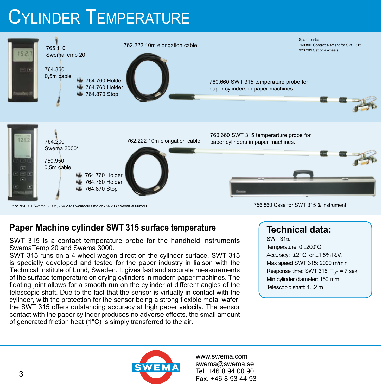# CYLINDER TEMPERATURE



#### **Paper Machine cylinder SWT 315 surface temperature**

SWT 315 is a contact temperature probe for the handheld instruments SwemaTemp 20 and Swema 3000.

SWT 315 runs on a 4-wheel wagon direct on the cylinder surface. SWT 315 is specially developed and tested for the paper industry in liaison with the Technical Institute of Lund, Sweden. It gives fast and accurate measurements of the surface temperature on drying cylinders in modern paper machines. The floating joint allows for a smooth run on the cylinder at different angles of the telescopic shaft. Due to the fact that the sensor is virtually in contact with the cylinder, with the protection for the sensor being a strong flexible metal wafer, the SWT 315 offers outstanding accuracy at high paper velocity. The sensor contact with the paper cylinder produces no adverse effects, the small amount of generated friction heat (1°C) is simply transferred to the air.

### **Technical data:**

SWT 315: Temperature: 0...200°C Accuracy:  $\pm 2$  °C or  $\pm 1,5\%$  R.V. Max speed SWT 315: 2000 m/min Response time: SWT 315:  $T_{90}$  = 7 sek, Min cylinder diameter: 150 mm Telescopic shaft: 1...2 m

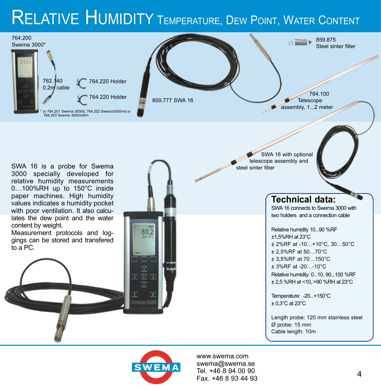# RELATIVE HUMIDITY TEMPERATURE, DEW POINT, WATER CONTENT



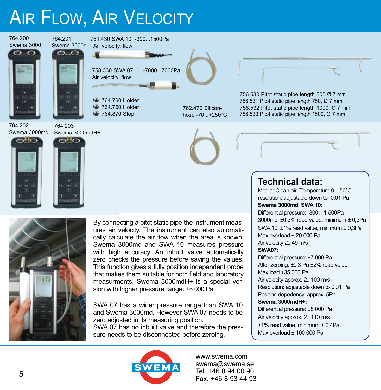# **AIR FLOW, AIR VELOCITY**





By connecting a pitot static pipe the instrument measures air velocity. The instrument can also automatically calculate the air flow when the area is known. Swema 3000md and SWA 10 measures pressure with high accuracy. An inbuilt valve automatically zero checks the pressure before saving the values. This function gives a fully position independent probe that makes them suitable for both field and laboratory measurments. Swema 3000mdH+ is a special version with higher pressure range: ±8 000 Pa.

SWA 07 has a wider pressure range than SWA 10 and Swema 3000md. However SWA 07 needs to be zero adjusted in its measuring position. SWA 07 has no inbuilt valve and therefore the pressure needs to be disconnected before zeroing.

#### **Technical data:**

Media: Clean air, Temperature 0…50°C resolution: adjustable down to 0,01 Pa **Swema 3000md, SWA 10:** Differential pressure: -300…1 500Pa 3000md: ±0,3% read value, minimum ± 0,3Pa SWA 10: ±1% read value, minimum ± 0,3Pa Max overload  $\pm$  20 000 Pa Air velocity 2...49 m/s **SWA07:**  Differential pressure: ±7 000 Pa After zeroing: ±0,3 Pa ±2% read value Max load ±35 000 Pa

Air velocity approx. 2...100 m/s Resolution: adjustable down to 0,01 Pa Position depedency: approx. 5Pa

#### **Swema 3000mdH+:**

Differential pressure: ±8 000 Pa Air velocity approx. 2...110 m/s ±1% read value, minimum ± 0,4Pa Max overload  $+$  100 000 Pa